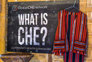

### **COMMUNITY HEALTH EVANGELISM**

**MANIFERRATION COMMUNISTIC** 

History Communication of the Communication of the Communication of the Communication of the Communication of the Communication of the Communication of the Communication of the Communication of the Communication of the Comm

ma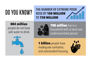# **Do You Know?**

### **THE NUMBER OF EXTREME POOR ROSE BY** 150 MILLION **TO** 738 MILLION

884 million people do not have safe water to drink



**788 million** live in a household with at least one undernourished person



1 **billion** people have inadequate sanitation, and substandard housing

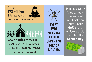### Of the 773 million illiterate adults, the majority are women

h mhan About a third of the UN's **About a third of the UN's** Least Developed Countries are also the **least churched** countries in the world

**EVERY TWO** MINUTES **A CHILD UNDER FIVE DIES OF MALARIA**

Extreme poverty is increasingly concentrated in sub-Saharan Africa. About **40%** of this region's people live on less than

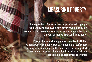### **MEASURING POVERTY**

**If the problem of poverty was simply viewed as people who are living on \$1.90 a day, poverty would be purely economic. But poverty encompasses so much more than the amount of money a person brings home!** 

**The multidimensional poor, as classified by United Nations Development Program, are people that suffer from multiple disadvantages at the same time including a lack of clean water, proper sanitation, food security, healthcare, education, and economic opportunity.**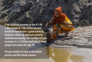**If we measure poverty on the \$1.90 a day standard, 738 million people would be numbered—a great travesty. However, when we measure poverty multidimensionally, the number of poor escalates to 1.3 billion and half of these people are under the age 18.**

**It truly matters to look at the whole picture and the whole person!**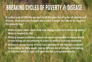# Breaking Cycles of Poverty & Disease

**It is often said of CHE that we seek to lift the poor out of cycles of poverty and disease. Have you ever thought about what it might feel like to be caught in this poverty trap?** 

- **Without clean water, much time and energy is placed in obtaining water. Water is needed for life!**
- **Without proper sanitation, people are more susceptible to disease which in turn brings up the problem of access to medical care and treatment.**
- **Without a secure source of food, each member of the family is involved in providing for daily needs, taking children out of schools, and leading to illiteracy which in turn, will continue the cycle generationally.**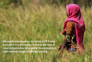**Life would seem hopeless, but when a CHE Trainer starts work in a community, he brings the hope of Jesus and education to empower the community to make needed changes to alleviate poverty.**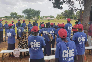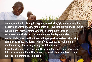

**Community Health Evangelism (pronounced "chay") is a movement that has revolutionized the way global missions is carried out around the world. We promote Christ-centered wholistic development through empowerment strategies that avoid unhealthy dependencies. We facilitate processes that involve the people themselves prioritizing community issues to address, identifying assets, and making and implementing plans using locally available resources. Placed under God's direction and His desire for people to experience a full and abundant life in Him, a path to sustainable, long lasting, and reproducible transformation begins.**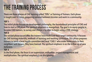# The Training Process

**There are three phases of CHE training called "TOTs" or Training of Trainers. Each phase is taught over 4-5 days, preparing national believers to enter and work in a community.**

### **TOT 1**

**The initial phase focuses on development philosophy, the foundational principles of CHE and how to start a CHE plant. The spiritual emphasis is evangelism. The goal is to equip people to become CHE trainers; to survey and choose a location to begin using a CHE strategy. TOT 2**

**The second phase occurs after the trainers have mobilized their target community. It focuses on CHE training materials, methods of learning and teaching curriculum. This phase prepares trainers to teach a local health committee and local "CHE's" who make home visits to their neighbors with lessons they have learned. The spiritual emphasis is on the follow-up of new believers.** 

#### **TOT 3**

**In the final phase, the focus is on supervision, evaluation, project management and multiplication. The spiritual emphasis is on discipleship.**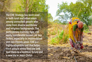**The CHE Strategy has been used in both rural and urban areas among unreached people who come from diverse worldview and religious backgrounds. The participatory learning style and easily transferable lessons are key factors, especially in impoverished and non-literate areas. CHE is a highly-adaptable tool that helps meet people where they are and lead them to a healthier future and a new life in Jesus Christ.**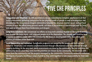# FIVE CHE PRINCIPLES

**Integration and Wholism: As CHE practitioners, we are committed to complete obedience to all that Jesus commanded, including compassion for the physical needs of people as well as evangelism and discipleship. We recognize an integral relationship between the physical, mental, social, and spiritual natures of man. We affirm every person's worth, call them to be children of God through faith in Christ, and seek to release them from brokenness and despair.** 

**Long-Term Solutions: We concentrate our efforts on long-term solutions that break the cycle of poverty and disease. We train, equip, and empower people to do for themselves. We identify and mobilize local resources to address needs within the community. We focus on development rather than relief, and disease prevention rather than cure.** 

**Local Ownership and Initiative: Sustainable programs are owned by the people and built on local initiative. Ownership and initiative are demonstrated through volunteerism and strengthened through capacity building. At the very start, needs assessments are done by the community. But not only does the community decide what they need, but the priorities are chosen by the community, the resources will come from the community and the projects managed by the community. Community ownership enhances the dignity of people, instilling a sense of pride as they work together to take responsibility for their own future.**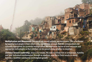**Multiplication and Movements: Our aim is not merely projects, but movements. This is facilitated by training local people to train others using transferable concepts that are contextualized and culturally appropriate for successful multiplication. We emphasize the use of local resources and appropriate technologies so that solutions can be passed along neighbor to neighbor.** 

**Christian Servant Leadership: Jesus is our model. We seek to imitate him in compassion, humility and love. Individual transformation through an obedient, new life in Christ results in strong families, a healthier community and Kingdom growth.**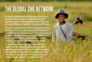### The Global CHE Network

**The Global CHE Network is a community of individuals and organizations using the strategy of Community Health Evangelism to bring people to faith in Jesus and lift communities out of the cycles of poverty and disease.** 

**The goal of our collaboration is the strengthening of each individual ministry and the expansion of CHE ministries worldwide. We are networked together for mutual support to share useful ideas and best practices, encourage each other, coordinate efforts, optimize the use of limited resources, and accelerate the advance of the Gospel.** 

**The network provides a large pool of resources from which all members draw. By coordinating our efforts with a determination to build up each other's ministries and expand the CHE movement, we gain access to ideas and resources. We also create new opportunities to do together what no one of us could achieve alone!**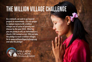## The Million Village Challenge

**As a network, we seek to go beyond projects to movements. It is our prayer to catalyze teams to lift a million villages out of cycles of poverty and disease by the year 2033. Whether you are young or old, an individual or a church, CHE trained or not, YOU can take the pledge to reach a million villages. Go to** *www.millionvillagechallenge.org* **and take the pledge!**